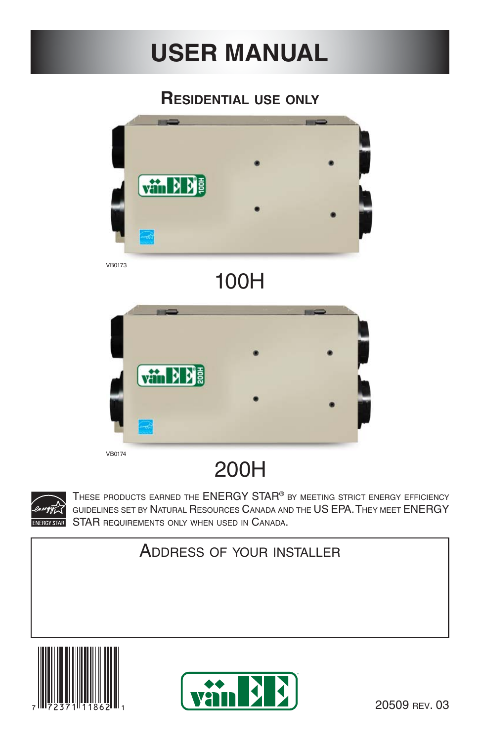# **USER MANUAL**

# **RESIDENTIAL USE ONLY**



VB0174

# 200H



THESE PRODUCTS EARNED THE ENERGY STAR® BY MEETING STRICT ENERGY EFFICIENCY GUIDELINES SET BY NATURAL RESOURCES CANADA AND THE US EPA. THEY MEET ENERGY STAR REQUIREMENTS ONLY WHEN USED IN CANADA.

# ADDRESS OF YOUR INSTALLER



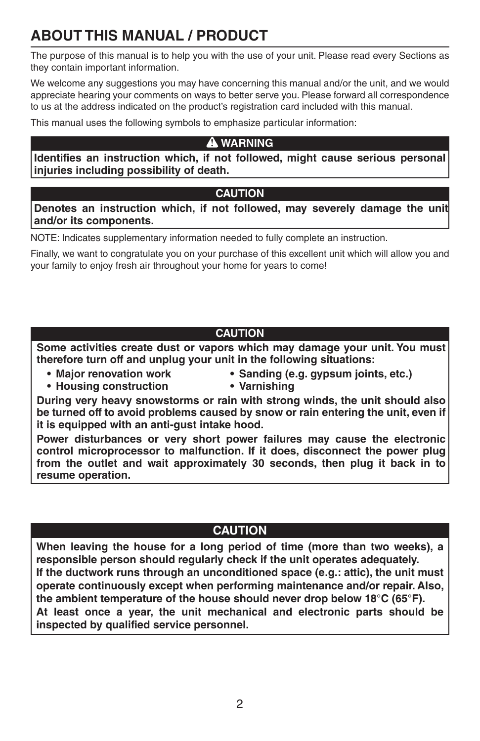# **ABOUT THIS MANUAL / PRODUCT**

The purpose of this manual is to help you with the use of your unit. Please read every Sections as they contain important information.

We welcome any suggestions you may have concerning this manual and/or the unit, and we would appreciate hearing your comments on ways to better serve you. Please forward all correspondence to us at the address indicated on the product's registration card included with this manual.

This manual uses the following symbols to emphasize particular information:

#### **! WARNING**

**Identifies an instruction which, if not followed, might cause serious personal injuries including possibility of death.**

#### **CAUTION**

**Denotes an instruction which, if not followed, may severely damage the unit and/or its components.**

NOTE: Indicates supplementary information needed to fully complete an instruction.

Finally, we want to congratulate you on your purchase of this excellent unit which will allow you and your family to enjoy fresh air throughout your home for years to come!

### **CAUTION**

**Some activities create dust or vapors which may damage your unit. You must therefore turn off and unplug your unit in the following situations:**

- 
- **Housing construction Varnishing**
- **Major renovation work Sanding (e.g. gypsum joints, etc.)**
	-

**During very heavy snowstorms or rain with strong winds, the unit should also be turned off to avoid problems caused by snow or rain entering the unit, even if it is equipped with an anti-gust intake hood.**

**Power disturbances or very short power failures may cause the electronic control microprocessor to malfunction. If it does, disconnect the power plug from the outlet and wait approximately 30 seconds, then plug it back in to resume operation.**

### **CAUTION**

**When leaving the house for a long period of time (more than two weeks), a responsible person should regularly check if the unit operates adequately. If the ductwork runs through an unconditioned space (e.g.: attic), the unit must operate continuously except when performing maintenance and/or repair. Also, the ambient temperature of the house should never drop below 18°C (65°F). At least once a year, the unit mechanical and electronic parts should be inspected by qualified service personnel.**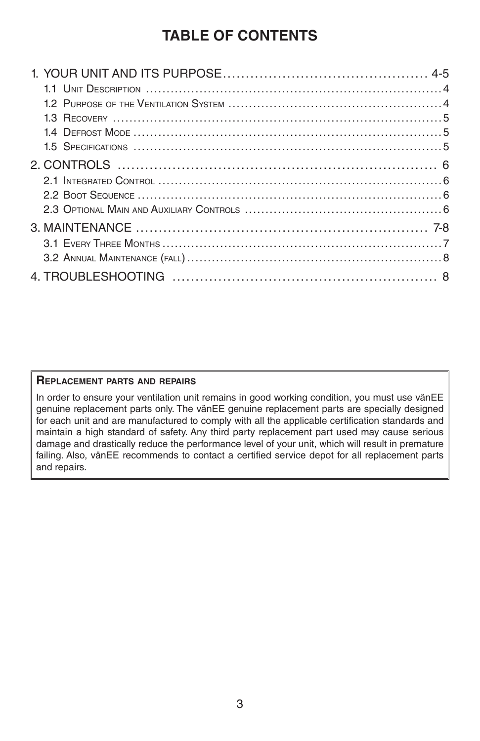## **TABLE OF CONTENTS**

#### **REPLACEMENT PARTS AND REPAIRS**

In order to ensure your ventilation unit remains in good working condition, you must use vänEE genuine replacement parts only. The vänEE genuine replacement parts are specially designed for each unit and are manufactured to comply with all the applicable certification standards and maintain a high standard of safety. Any third party replacement part used may cause serious damage and drastically reduce the performance level of your unit, which will result in premature failing. Also, vänEE recommends to contact a certified service depot for all replacement parts and repairs.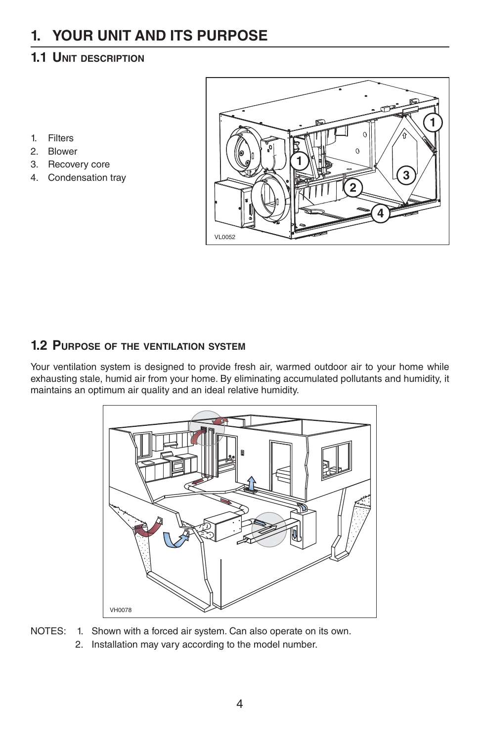# **1. YOUR UNIT AND ITS PURPOSE**

### **1.1 UNIT DESCRIPTION**

- 1. Filters
- 2. Blower
- 3. Recovery core
- 4. Condensation tray



### **1.2 PURPOSE OF THE VENTILATION SYSTEM**

Your ventilation system is designed to provide fresh air, warmed outdoor air to your home while exhausting stale, humid air from your home. By eliminating accumulated pollutants and humidity, it maintains an optimum air quality and an ideal relative humidity.



NOTES: 1. Shown with a forced air system. Can also operate on its own. 2. Installation may vary according to the model number.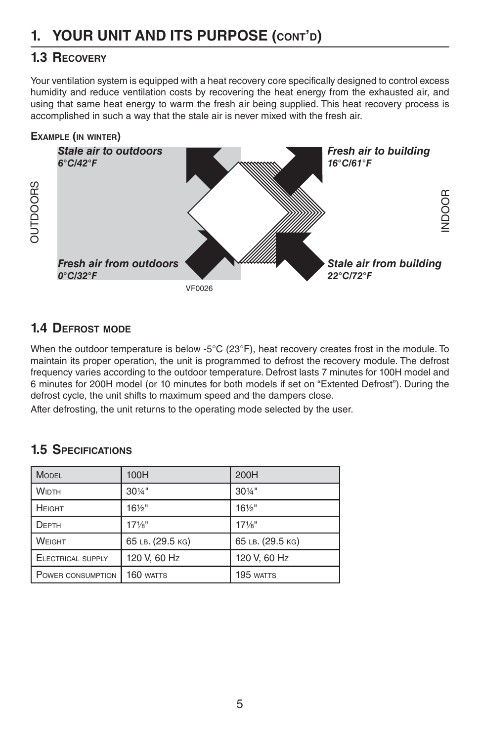### **1.3 RECOVERY**

Your ventilation system is equipped with a heat recovery core specifically designed to control excess humidity and reduce ventilation costs by recovering the heat energy from the exhausted air, and using that same heat energy to warm the fresh air being supplied. This heat recovery process is accomplished in such a way that the stale air is never mixed with the fresh air.



### **1.4 DEFROST MODE**

When the outdoor temperature is below -5°C (23°F), heat recovery creates frost in the module. To maintain its proper operation, the unit is programmed to defrost the recovery module. The defrost frequency varies according to the outdoor temperature. Defrost lasts 7 minutes for 100H model and 6 minutes for 200H model (or 10 minutes for both models if set on "Extented Defrost"). During the defrost cycle, the unit shifts to maximum speed and the dampers close.

After defrosting, the unit returns to the operating mode selected by the user.

### **1.5 SPECIFICATIONS**

| <b>MODEL</b>             | 100H              | 200H              |
|--------------------------|-------------------|-------------------|
| <b>WIDTH</b>             | $30\frac{1}{4}$ " | 301/4"            |
| HEIGHT                   | $16\frac{1}{2}$ " | $16\frac{1}{2}$ " |
| DEPTH                    | $17\frac{1}{8}$ " | $17\frac{1}{8}$ " |
| WEIGHT                   | 65 LB. (29.5 KG)  | 65 LB. (29.5 KG)  |
| <b>ELECTRICAL SUPPLY</b> | 120 V, 60 Hz      | 120 V, 60 Hz      |
| POWER CONSUMPTION        | 160 watts         | 195 WATTS         |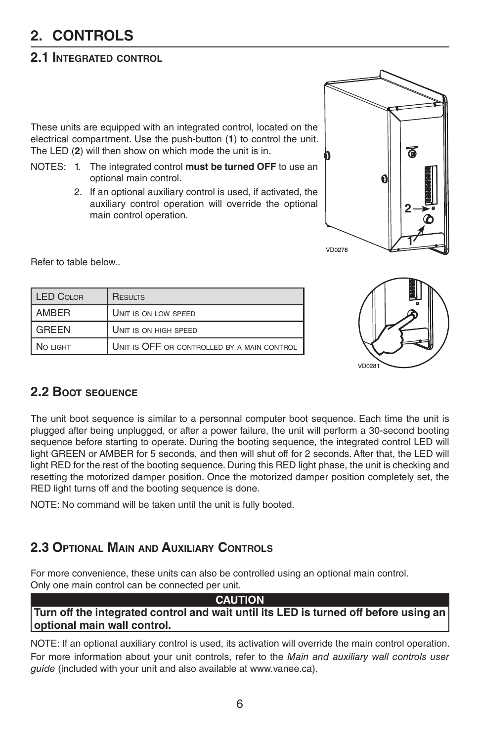# **2. CONTROLS**

### **2.1 INTEGRATED CONTROL**

These units are equipped with an integrated control, located on the electrical compartment. Use the push-button (**1**) to control the unit. The LED (**2**) will then show on which mode the unit is in.

- NOTES: 1. The integrated control **must be turned OFF** to use an optional main control.
	- 2. If an optional auxiliary control is used, if activated, the auxiliary control operation will override the optional main control operation.



Refer to table below..

| LED COLOR | <b>RESULTS</b>                              |
|-----------|---------------------------------------------|
| AMBER     | UNIT IS ON LOW SPEED                        |
| GREEN     | UNIT IS ON HIGH SPEED                       |
| NO LIGHT  | UNIT IS OFF OR CONTROLLED BY A MAIN CONTROL |



### **2.2 BOOT SEQUENCE**

The unit boot sequence is similar to a personnal computer boot sequence. Each time the unit is plugged after being unplugged, or after a power failure, the unit will perform a 30-second booting sequence before starting to operate. During the booting sequence, the integrated control LED will light GREEN or AMBER for 5 seconds, and then will shut off for 2 seconds. After that, the LED will light RED for the rest of the booting sequence. During this RED light phase, the unit is checking and resetting the motorized damper position. Once the motorized damper position completely set, the RED light turns off and the booting sequence is done.

NOTE: No command will be taken until the unit is fully booted.

### **2.3 OPTIONAL MAIN AND AUXILIARY CONTROLS**

For more convenience, these units can also be controlled using an optional main control. Only one main control can be connected per unit.

#### **CAUTION Turn off the integrated control and wait until its LED is turned off before using an optional main wall control.**

NOTE: If an optional auxiliary control is used, its activation will override the main control operation. For more information about your unit controls, refer to the Main and auxiliary wall controls user guide (included with your unit and also available at www.vanee.ca).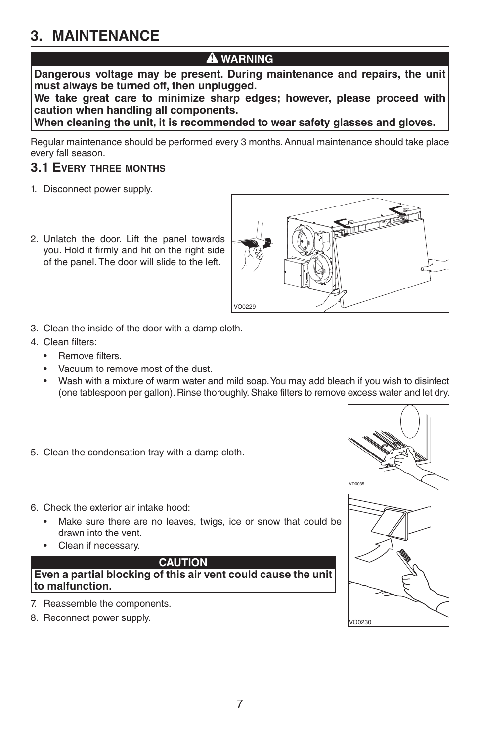### **3. MAINTENANCE**

### **! WARNING**

**Dangerous voltage may be present. During maintenance and repairs, the unit must always be turned off, then unplugged.**

**We take great care to minimize sharp edges; however, please proceed with caution when handling all components.**

**When cleaning the unit, it is recommended to wear safety glasses and gloves.**

Regular maintenance should be performed every 3 months. Annual maintenance should take place every fall season.

#### **3.1 EVERY THREE MONTHS**

- 1. Disconnect power supply.
- 2. Unlatch the door. Lift the panel towards you. Hold it firmly and hit on the right side of the panel. The door will slide to the left.



- 3. Clean the inside of the door with a damp cloth.
- 4. Clean filters:
	- Remove filters.
	- Vacuum to remove most of the dust.
	- Wash with a mixture of warm water and mild soap. You may add bleach if you wish to disinfect (one tablespoon per gallon). Rinse thoroughly. Shake filters to remove excess water and let dry.
- 5. Clean the condensation tray with a damp cloth.



- Make sure there are no leaves, twigs, ice or snow that could be drawn into the vent.
- Clean if necessary.

#### **CAUTION**

**Even a partial blocking of this air vent could cause the unit to malfunction.**

- 7. Reassemble the components.
- 8. Reconnect power supply.